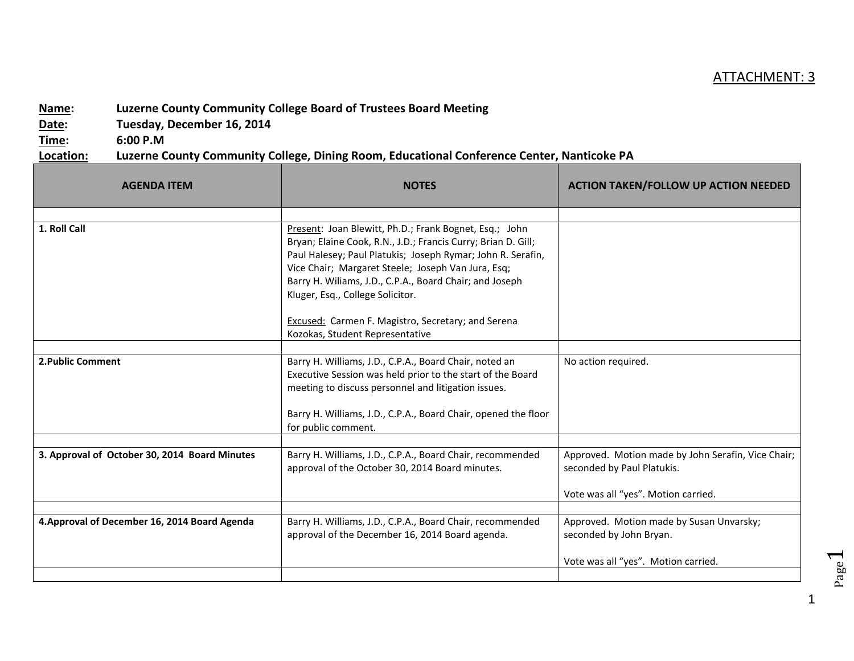## ATTACHMENT: 3

## **Name: Luzerne County Community College Board of Trustees Board Meeting**

**Date: Tuesday, December 16, 2014**

**Time: 6:00 P.M**

## **Location: Luzerne County Community College, Dining Room, Educational Conference Center, Nanticoke PA**

| <b>AGENDA ITEM</b>                            | <b>NOTES</b>                                                                                                                                                                                                                                                                                                                                | <b>ACTION TAKEN/FOLLOW UP ACTION NEEDED</b>                                                                             |
|-----------------------------------------------|---------------------------------------------------------------------------------------------------------------------------------------------------------------------------------------------------------------------------------------------------------------------------------------------------------------------------------------------|-------------------------------------------------------------------------------------------------------------------------|
|                                               |                                                                                                                                                                                                                                                                                                                                             |                                                                                                                         |
| 1. Roll Call                                  | Present: Joan Blewitt, Ph.D.; Frank Bognet, Esq.; John<br>Bryan; Elaine Cook, R.N., J.D.; Francis Curry; Brian D. Gill;<br>Paul Halesey; Paul Platukis; Joseph Rymar; John R. Serafin,<br>Vice Chair; Margaret Steele; Joseph Van Jura, Esq;<br>Barry H. Wiliams, J.D., C.P.A., Board Chair; and Joseph<br>Kluger, Esq., College Solicitor. |                                                                                                                         |
|                                               | <b>Excused: Carmen F. Magistro, Secretary; and Serena</b><br>Kozokas, Student Representative                                                                                                                                                                                                                                                |                                                                                                                         |
|                                               |                                                                                                                                                                                                                                                                                                                                             |                                                                                                                         |
| 2. Public Comment                             | Barry H. Williams, J.D., C.P.A., Board Chair, noted an<br>Executive Session was held prior to the start of the Board<br>meeting to discuss personnel and litigation issues.<br>Barry H. Williams, J.D., C.P.A., Board Chair, opened the floor                                                                                               | No action required.                                                                                                     |
|                                               | for public comment.                                                                                                                                                                                                                                                                                                                         |                                                                                                                         |
| 3. Approval of October 30, 2014 Board Minutes | Barry H. Williams, J.D., C.P.A., Board Chair, recommended<br>approval of the October 30, 2014 Board minutes.                                                                                                                                                                                                                                | Approved. Motion made by John Serafin, Vice Chair;<br>seconded by Paul Platukis.<br>Vote was all "yes". Motion carried. |
|                                               |                                                                                                                                                                                                                                                                                                                                             |                                                                                                                         |
| 4. Approval of December 16, 2014 Board Agenda | Barry H. Williams, J.D., C.P.A., Board Chair, recommended<br>approval of the December 16, 2014 Board agenda.                                                                                                                                                                                                                                | Approved. Motion made by Susan Unvarsky;<br>seconded by John Bryan.                                                     |
|                                               |                                                                                                                                                                                                                                                                                                                                             | Vote was all "yes". Motion carried.                                                                                     |
|                                               |                                                                                                                                                                                                                                                                                                                                             |                                                                                                                         |

Page  $\overline{\phantom{0}}$ 

1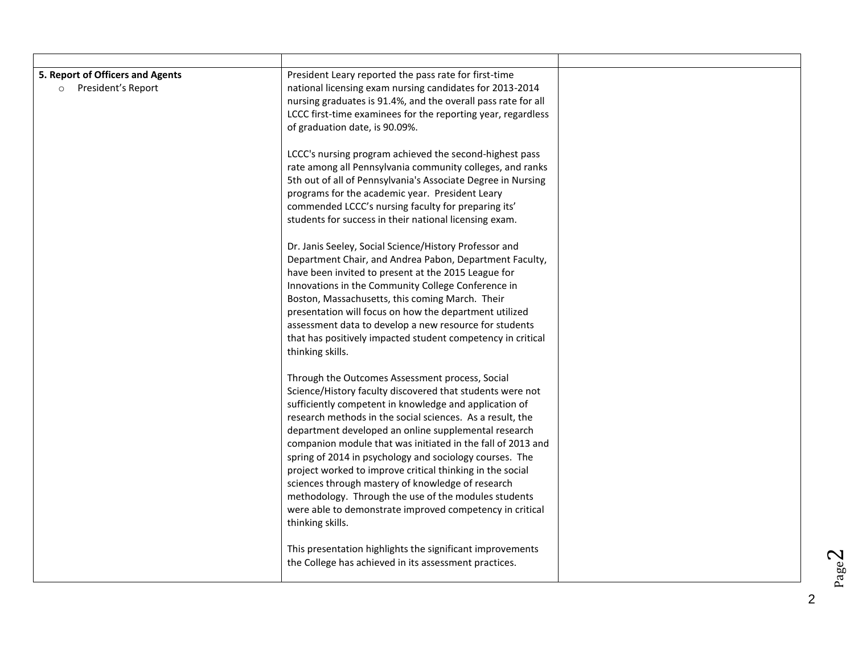| 5. Report of Officers and Agents<br>President's Report<br>$\circ$ | President Leary reported the pass rate for first-time<br>national licensing exam nursing candidates for 2013-2014<br>nursing graduates is 91.4%, and the overall pass rate for all<br>LCCC first-time examinees for the reporting year, regardless<br>of graduation date, is 90.09%.                                                                                                                                                                                                                                                                                                                                                                                            |  |
|-------------------------------------------------------------------|---------------------------------------------------------------------------------------------------------------------------------------------------------------------------------------------------------------------------------------------------------------------------------------------------------------------------------------------------------------------------------------------------------------------------------------------------------------------------------------------------------------------------------------------------------------------------------------------------------------------------------------------------------------------------------|--|
|                                                                   | LCCC's nursing program achieved the second-highest pass<br>rate among all Pennsylvania community colleges, and ranks<br>5th out of all of Pennsylvania's Associate Degree in Nursing<br>programs for the academic year. President Leary<br>commended LCCC's nursing faculty for preparing its'<br>students for success in their national licensing exam.                                                                                                                                                                                                                                                                                                                        |  |
|                                                                   | Dr. Janis Seeley, Social Science/History Professor and<br>Department Chair, and Andrea Pabon, Department Faculty,<br>have been invited to present at the 2015 League for<br>Innovations in the Community College Conference in<br>Boston, Massachusetts, this coming March. Their<br>presentation will focus on how the department utilized<br>assessment data to develop a new resource for students<br>that has positively impacted student competency in critical<br>thinking skills.                                                                                                                                                                                        |  |
|                                                                   | Through the Outcomes Assessment process, Social<br>Science/History faculty discovered that students were not<br>sufficiently competent in knowledge and application of<br>research methods in the social sciences. As a result, the<br>department developed an online supplemental research<br>companion module that was initiated in the fall of 2013 and<br>spring of 2014 in psychology and sociology courses. The<br>project worked to improve critical thinking in the social<br>sciences through mastery of knowledge of research<br>methodology. Through the use of the modules students<br>were able to demonstrate improved competency in critical<br>thinking skills. |  |
|                                                                   | This presentation highlights the significant improvements<br>the College has achieved in its assessment practices.                                                                                                                                                                                                                                                                                                                                                                                                                                                                                                                                                              |  |

2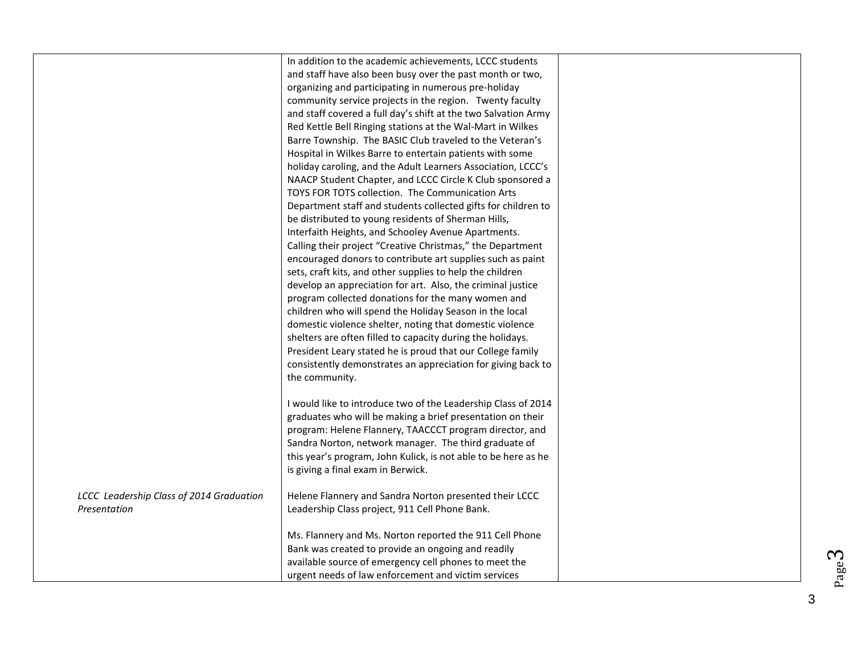|                                          | In addition to the academic achievements, LCCC students<br>and staff have also been busy over the past month or two, |  |
|------------------------------------------|----------------------------------------------------------------------------------------------------------------------|--|
|                                          | organizing and participating in numerous pre-holiday                                                                 |  |
|                                          | community service projects in the region. Twenty faculty                                                             |  |
|                                          | and staff covered a full day's shift at the two Salvation Army                                                       |  |
|                                          | Red Kettle Bell Ringing stations at the Wal-Mart in Wilkes                                                           |  |
|                                          | Barre Township. The BASIC Club traveled to the Veteran's                                                             |  |
|                                          | Hospital in Wilkes Barre to entertain patients with some                                                             |  |
|                                          | holiday caroling, and the Adult Learners Association, LCCC's                                                         |  |
|                                          | NAACP Student Chapter, and LCCC Circle K Club sponsored a                                                            |  |
|                                          | TOYS FOR TOTS collection. The Communication Arts                                                                     |  |
|                                          | Department staff and students collected gifts for children to                                                        |  |
|                                          | be distributed to young residents of Sherman Hills,                                                                  |  |
|                                          | Interfaith Heights, and Schooley Avenue Apartments.                                                                  |  |
|                                          | Calling their project "Creative Christmas," the Department                                                           |  |
|                                          | encouraged donors to contribute art supplies such as paint                                                           |  |
|                                          | sets, craft kits, and other supplies to help the children                                                            |  |
|                                          | develop an appreciation for art. Also, the criminal justice                                                          |  |
|                                          | program collected donations for the many women and                                                                   |  |
|                                          | children who will spend the Holiday Season in the local                                                              |  |
|                                          | domestic violence shelter, noting that domestic violence                                                             |  |
|                                          | shelters are often filled to capacity during the holidays.                                                           |  |
|                                          | President Leary stated he is proud that our College family                                                           |  |
|                                          | consistently demonstrates an appreciation for giving back to                                                         |  |
|                                          | the community.                                                                                                       |  |
|                                          |                                                                                                                      |  |
|                                          | I would like to introduce two of the Leadership Class of 2014                                                        |  |
|                                          | graduates who will be making a brief presentation on their                                                           |  |
|                                          | program: Helene Flannery, TAACCCT program director, and                                                              |  |
|                                          | Sandra Norton, network manager. The third graduate of                                                                |  |
|                                          | this year's program, John Kulick, is not able to be here as he                                                       |  |
|                                          | is giving a final exam in Berwick.                                                                                   |  |
| LCCC Leadership Class of 2014 Graduation | Helene Flannery and Sandra Norton presented their LCCC                                                               |  |
| Presentation                             | Leadership Class project, 911 Cell Phone Bank.                                                                       |  |
|                                          |                                                                                                                      |  |
|                                          | Ms. Flannery and Ms. Norton reported the 911 Cell Phone                                                              |  |
|                                          | Bank was created to provide an ongoing and readily                                                                   |  |
|                                          | available source of emergency cell phones to meet the                                                                |  |
|                                          | urgent needs of law enforcement and victim services                                                                  |  |

3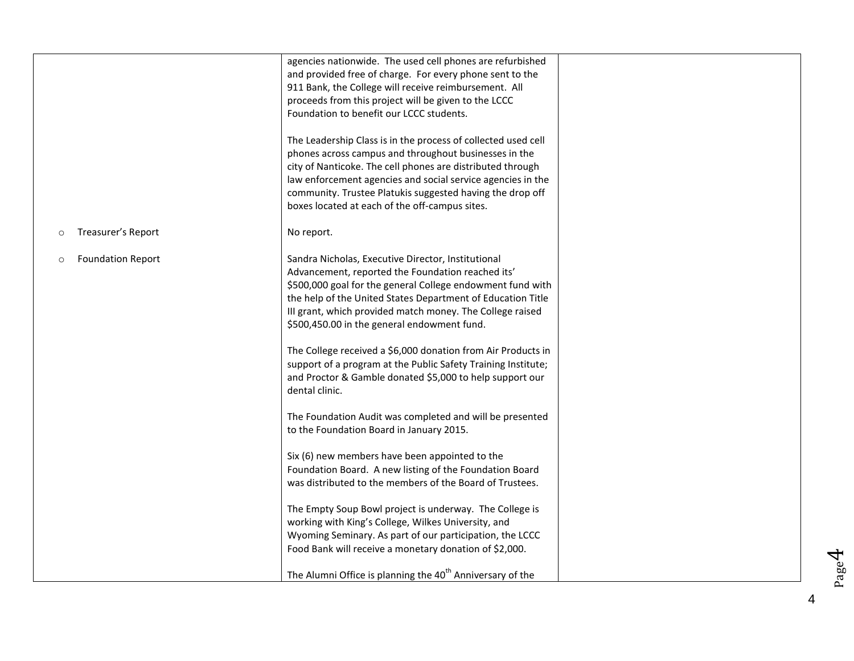|                                     | agencies nationwide. The used cell phones are refurbished<br>and provided free of charge. For every phone sent to the<br>911 Bank, the College will receive reimbursement. All<br>proceeds from this project will be given to the LCCC<br>Foundation to benefit our LCCC students.<br>The Leadership Class is in the process of collected used cell<br>phones across campus and throughout businesses in the<br>city of Nanticoke. The cell phones are distributed through<br>law enforcement agencies and social service agencies in the<br>community. Trustee Platukis suggested having the drop off |  |
|-------------------------------------|--------------------------------------------------------------------------------------------------------------------------------------------------------------------------------------------------------------------------------------------------------------------------------------------------------------------------------------------------------------------------------------------------------------------------------------------------------------------------------------------------------------------------------------------------------------------------------------------------------|--|
|                                     | boxes located at each of the off-campus sites.                                                                                                                                                                                                                                                                                                                                                                                                                                                                                                                                                         |  |
| Treasurer's Report<br>$\circ$       | No report.                                                                                                                                                                                                                                                                                                                                                                                                                                                                                                                                                                                             |  |
| <b>Foundation Report</b><br>$\circ$ | Sandra Nicholas, Executive Director, Institutional<br>Advancement, reported the Foundation reached its'<br>\$500,000 goal for the general College endowment fund with<br>the help of the United States Department of Education Title<br>III grant, which provided match money. The College raised<br>\$500,450.00 in the general endowment fund.                                                                                                                                                                                                                                                       |  |
|                                     | The College received a \$6,000 donation from Air Products in<br>support of a program at the Public Safety Training Institute;<br>and Proctor & Gamble donated \$5,000 to help support our<br>dental clinic.                                                                                                                                                                                                                                                                                                                                                                                            |  |
|                                     | The Foundation Audit was completed and will be presented<br>to the Foundation Board in January 2015.                                                                                                                                                                                                                                                                                                                                                                                                                                                                                                   |  |
|                                     | Six (6) new members have been appointed to the<br>Foundation Board. A new listing of the Foundation Board<br>was distributed to the members of the Board of Trustees.                                                                                                                                                                                                                                                                                                                                                                                                                                  |  |
|                                     | The Empty Soup Bowl project is underway. The College is<br>working with King's College, Wilkes University, and<br>Wyoming Seminary. As part of our participation, the LCCC<br>Food Bank will receive a monetary donation of \$2,000.                                                                                                                                                                                                                                                                                                                                                                   |  |
|                                     | The Alumni Office is planning the 40 <sup>th</sup> Anniversary of the                                                                                                                                                                                                                                                                                                                                                                                                                                                                                                                                  |  |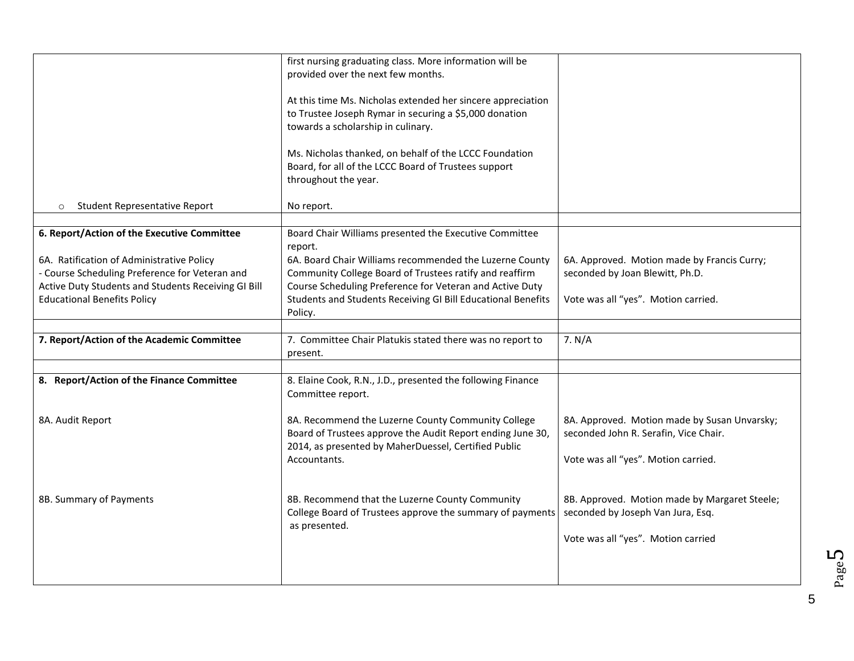|                                                                                                                                                                                                                                         | first nursing graduating class. More information will be<br>provided over the next few months.<br>At this time Ms. Nicholas extended her sincere appreciation<br>to Trustee Joseph Rymar in securing a \$5,000 donation<br>towards a scholarship in culinary.<br>Ms. Nicholas thanked, on behalf of the LCCC Foundation<br>Board, for all of the LCCC Board of Trustees support<br>throughout the year. |                                                                                                                              |
|-----------------------------------------------------------------------------------------------------------------------------------------------------------------------------------------------------------------------------------------|---------------------------------------------------------------------------------------------------------------------------------------------------------------------------------------------------------------------------------------------------------------------------------------------------------------------------------------------------------------------------------------------------------|------------------------------------------------------------------------------------------------------------------------------|
| <b>Student Representative Report</b><br>$\circ$                                                                                                                                                                                         | No report.                                                                                                                                                                                                                                                                                                                                                                                              |                                                                                                                              |
| 6. Report/Action of the Executive Committee<br>6A. Ratification of Administrative Policy<br>- Course Scheduling Preference for Veteran and<br>Active Duty Students and Students Receiving GI Bill<br><b>Educational Benefits Policy</b> | Board Chair Williams presented the Executive Committee<br>report.<br>6A. Board Chair Williams recommended the Luzerne County<br>Community College Board of Trustees ratify and reaffirm<br>Course Scheduling Preference for Veteran and Active Duty<br>Students and Students Receiving GI Bill Educational Benefits<br>Policy.                                                                          | 6A. Approved. Motion made by Francis Curry;<br>seconded by Joan Blewitt, Ph.D.<br>Vote was all "yes". Motion carried.        |
| 7. Report/Action of the Academic Committee                                                                                                                                                                                              | 7. Committee Chair Platukis stated there was no report to<br>present.                                                                                                                                                                                                                                                                                                                                   | 7. N/A                                                                                                                       |
| 8. Report/Action of the Finance Committee                                                                                                                                                                                               | 8. Elaine Cook, R.N., J.D., presented the following Finance<br>Committee report.                                                                                                                                                                                                                                                                                                                        |                                                                                                                              |
| 8A. Audit Report                                                                                                                                                                                                                        | 8A. Recommend the Luzerne County Community College<br>Board of Trustees approve the Audit Report ending June 30,<br>2014, as presented by MaherDuessel, Certified Public<br>Accountants.                                                                                                                                                                                                                | 8A. Approved. Motion made by Susan Unvarsky;<br>seconded John R. Serafin, Vice Chair.<br>Vote was all "yes". Motion carried. |
| 8B. Summary of Payments                                                                                                                                                                                                                 | 8B. Recommend that the Luzerne County Community<br>College Board of Trustees approve the summary of payments<br>as presented.                                                                                                                                                                                                                                                                           | 8B. Approved. Motion made by Margaret Steele;<br>seconded by Joseph Van Jura, Esq.<br>Vote was all "yes". Motion carried     |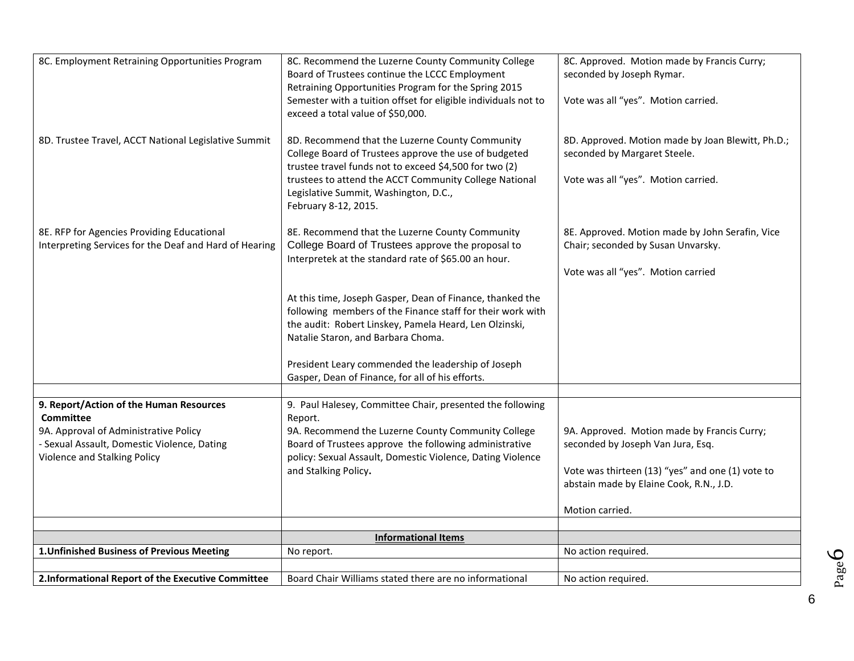| 8C. Employment Retraining Opportunities Program<br>8D. Trustee Travel, ACCT National Legislative Summit                                                                             | 8C. Recommend the Luzerne County Community College<br>Board of Trustees continue the LCCC Employment<br>Retraining Opportunities Program for the Spring 2015<br>Semester with a tuition offset for eligible individuals not to<br>exceed a total value of \$50,000.<br>8D. Recommend that the Luzerne County Community            | 8C. Approved. Motion made by Francis Curry;<br>seconded by Joseph Rymar.<br>Vote was all "yes". Motion carried.<br>8D. Approved. Motion made by Joan Blewitt, Ph.D.;                               |
|-------------------------------------------------------------------------------------------------------------------------------------------------------------------------------------|-----------------------------------------------------------------------------------------------------------------------------------------------------------------------------------------------------------------------------------------------------------------------------------------------------------------------------------|----------------------------------------------------------------------------------------------------------------------------------------------------------------------------------------------------|
|                                                                                                                                                                                     | College Board of Trustees approve the use of budgeted<br>trustee travel funds not to exceed \$4,500 for two (2)<br>trustees to attend the ACCT Community College National<br>Legislative Summit, Washington, D.C.,<br>February 8-12, 2015.                                                                                        | seconded by Margaret Steele.<br>Vote was all "yes". Motion carried.                                                                                                                                |
| 8E. RFP for Agencies Providing Educational<br>Interpreting Services for the Deaf and Hard of Hearing                                                                                | 8E. Recommend that the Luzerne County Community<br>College Board of Trustees approve the proposal to<br>Interpretek at the standard rate of \$65.00 an hour.                                                                                                                                                                      | 8E. Approved. Motion made by John Serafin, Vice<br>Chair; seconded by Susan Unvarsky.<br>Vote was all "yes". Motion carried                                                                        |
|                                                                                                                                                                                     | At this time, Joseph Gasper, Dean of Finance, thanked the<br>following members of the Finance staff for their work with<br>the audit: Robert Linskey, Pamela Heard, Len Olzinski,<br>Natalie Staron, and Barbara Choma.<br>President Leary commended the leadership of Joseph<br>Gasper, Dean of Finance, for all of his efforts. |                                                                                                                                                                                                    |
|                                                                                                                                                                                     |                                                                                                                                                                                                                                                                                                                                   |                                                                                                                                                                                                    |
| 9. Report/Action of the Human Resources<br><b>Committee</b><br>9A. Approval of Administrative Policy<br>- Sexual Assault, Domestic Violence, Dating<br>Violence and Stalking Policy | 9. Paul Halesey, Committee Chair, presented the following<br>Report.<br>9A. Recommend the Luzerne County Community College<br>Board of Trustees approve the following administrative<br>policy: Sexual Assault, Domestic Violence, Dating Violence<br>and Stalking Policy.                                                        | 9A. Approved. Motion made by Francis Curry;<br>seconded by Joseph Van Jura, Esq.<br>Vote was thirteen (13) "yes" and one (1) vote to<br>abstain made by Elaine Cook, R.N., J.D.<br>Motion carried. |
|                                                                                                                                                                                     |                                                                                                                                                                                                                                                                                                                                   |                                                                                                                                                                                                    |
| 1. Unfinished Business of Previous Meeting                                                                                                                                          | <b>Informational Items</b>                                                                                                                                                                                                                                                                                                        |                                                                                                                                                                                                    |
|                                                                                                                                                                                     | No report.                                                                                                                                                                                                                                                                                                                        | No action required.                                                                                                                                                                                |
| 2.Informational Report of the Executive Committee                                                                                                                                   | Board Chair Williams stated there are no informational                                                                                                                                                                                                                                                                            | No action required.                                                                                                                                                                                |